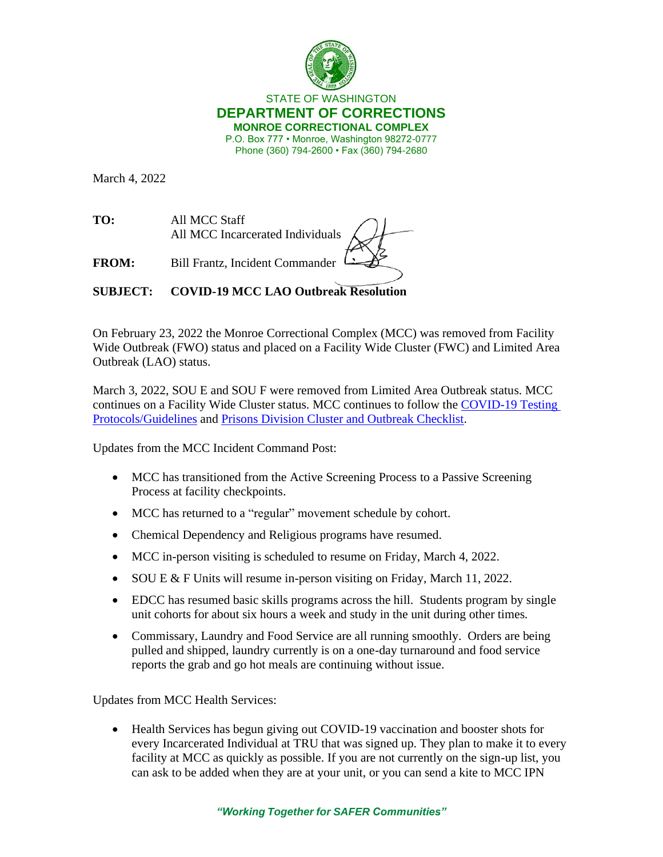

## STATE OF WASHINGTON **DEPARTMENT OF CORRECTIONS MONROE CORRECTIONAL COMPLEX** P.O. Box 777 • Monroe, Washington 98272-0777 Phone (360) 794-2600 • Fax (360) 794-2680

March 4, 2022

**TO:** All MCC Staff All MCC Incarcerated Individuals

**FROM:** Bill Frantz, Incident Commander

**SUBJECT: COVID-19 MCC LAO Outbreak Resolution**

On February 23, 2022 the Monroe Correctional Complex (MCC) was removed from Facility Wide Outbreak (FWO) status and placed on a Facility Wide Cluster (FWC) and Limited Area Outbreak (LAO) status.

March 3, 2022, SOU E and SOU F were removed from Limited Area Outbreak status. MCC continues on a Facility Wide Cluster status. MCC continues to follow the [COVID-19 Testing](https://doc.wa.gov/corrections/covid-19/docs/screening-testing-infection-control-guideline.pdf)  [Protocols/Guidelines](https://doc.wa.gov/corrections/covid-19/docs/screening-testing-infection-control-guideline.pdf) and [Prisons Division Cluster and Outbreak Checklist.](https://doc.wa.gov/corrections/covid-19/docs/outbreak-checklist.pdf)

Updates from the MCC Incident Command Post:

- MCC has transitioned from the Active Screening Process to a Passive Screening Process at facility checkpoints.
- MCC has returned to a "regular" movement schedule by cohort.
- Chemical Dependency and Religious programs have resumed.
- MCC in-person visiting is scheduled to resume on Friday, March 4, 2022.
- SOU E & F Units will resume in-person visiting on Friday, March 11, 2022.
- EDCC has resumed basic skills programs across the hill. Students program by single unit cohorts for about six hours a week and study in the unit during other times.
- Commissary, Laundry and Food Service are all running smoothly. Orders are being pulled and shipped, laundry currently is on a one-day turnaround and food service reports the grab and go hot meals are continuing without issue.

Updates from MCC Health Services:

• Health Services has begun giving out COVID-19 vaccination and booster shots for every Incarcerated Individual at TRU that was signed up. They plan to make it to every facility at MCC as quickly as possible. If you are not currently on the sign-up list, you can ask to be added when they are at your unit, or you can send a kite to MCC IPN